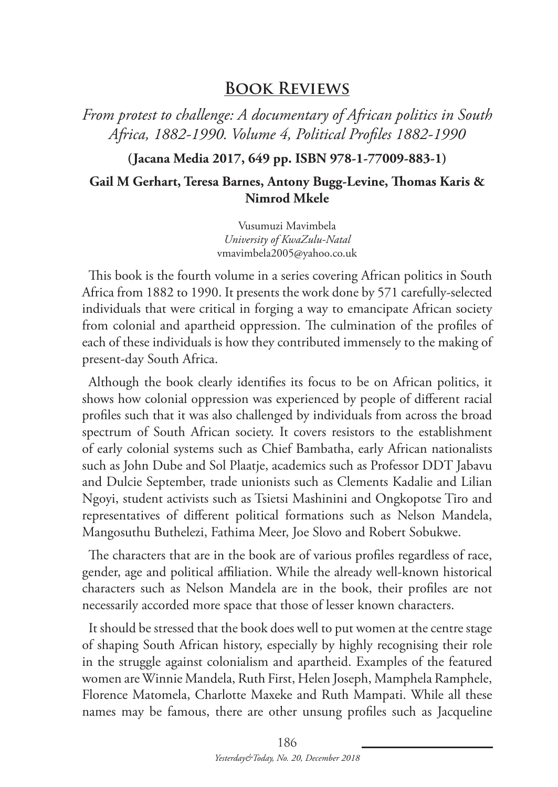## **Book Reviews**

*From protest to challenge: A documentary of African politics in South Africa, 1882-1990. Volume 4, Political Profiles 1882-1990*

**(Jacana Media 2017, 649 pp. ISBN 978-1-77009-883-1)**

#### **Gail M Gerhart, Teresa Barnes, Antony Bugg-Levine, Thomas Karis & Nimrod Mkele**

Vusumuzi Mavimbela *University of KwaZulu-Natal* vmavimbela2005@yahoo.co.uk

This book is the fourth volume in a series covering African politics in South Africa from 1882 to 1990. It presents the work done by 571 carefully-selected individuals that were critical in forging a way to emancipate African society from colonial and apartheid oppression. The culmination of the profiles of each of these individuals is how they contributed immensely to the making of present-day South Africa.

Although the book clearly identifies its focus to be on African politics, it shows how colonial oppression was experienced by people of different racial profiles such that it was also challenged by individuals from across the broad spectrum of South African society. It covers resistors to the establishment of early colonial systems such as Chief Bambatha, early African nationalists such as John Dube and Sol Plaatje, academics such as Professor DDT Jabavu and Dulcie September, trade unionists such as Clements Kadalie and Lilian Ngoyi, student activists such as Tsietsi Mashinini and Ongkopotse Tiro and representatives of different political formations such as Nelson Mandela, Mangosuthu Buthelezi, Fathima Meer, Joe Slovo and Robert Sobukwe.

The characters that are in the book are of various profiles regardless of race, gender, age and political affiliation. While the already well-known historical characters such as Nelson Mandela are in the book, their profiles are not necessarily accorded more space that those of lesser known characters.

It should be stressed that the book does well to put women at the centre stage of shaping South African history, especially by highly recognising their role in the struggle against colonialism and apartheid. Examples of the featured women are Winnie Mandela, Ruth First, Helen Joseph, Mamphela Ramphele, Florence Matomela, Charlotte Maxeke and Ruth Mampati. While all these names may be famous, there are other unsung profiles such as Jacqueline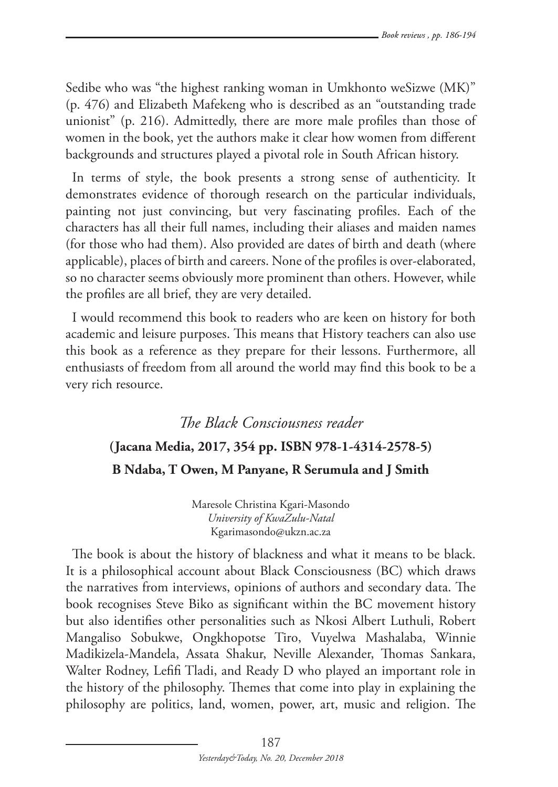Sedibe who was "the highest ranking woman in Umkhonto weSizwe (MK)" (p. 476) and Elizabeth Mafekeng who is described as an "outstanding trade unionist" (p. 216). Admittedly, there are more male profiles than those of women in the book, yet the authors make it clear how women from different backgrounds and structures played a pivotal role in South African history.

In terms of style, the book presents a strong sense of authenticity. It demonstrates evidence of thorough research on the particular individuals, painting not just convincing, but very fascinating profiles. Each of the characters has all their full names, including their aliases and maiden names (for those who had them). Also provided are dates of birth and death (where applicable), places of birth and careers. None of the profiles is over-elaborated, so no character seems obviously more prominent than others. However, while the profiles are all brief, they are very detailed.

I would recommend this book to readers who are keen on history for both academic and leisure purposes. This means that History teachers can also use this book as a reference as they prepare for their lessons. Furthermore, all enthusiasts of freedom from all around the world may find this book to be a very rich resource.

# *The Black Consciousness reader* **(Jacana Media, 2017, 354 pp. ISBN 978-1-4314-2578-5) B Ndaba, T Owen, M Panyane, R Serumula and J Smith**

Maresole Christina Kgari-Masondo *University of KwaZulu-Natal* Kgarimasondo@ukzn.ac.za

The book is about the history of blackness and what it means to be black. It is a philosophical account about Black Consciousness (BC) which draws the narratives from interviews, opinions of authors and secondary data. The book recognises Steve Biko as significant within the BC movement history but also identifies other personalities such as Nkosi Albert Luthuli, Robert Mangaliso Sobukwe, Ongkhopotse Tiro, Vuyelwa Mashalaba, Winnie Madikizela-Mandela, Assata Shakur, Neville Alexander, Thomas Sankara, Walter Rodney, Lefifi Tladi, and Ready D who played an important role in the history of the philosophy. Themes that come into play in explaining the philosophy are politics, land, women, power, art, music and religion. The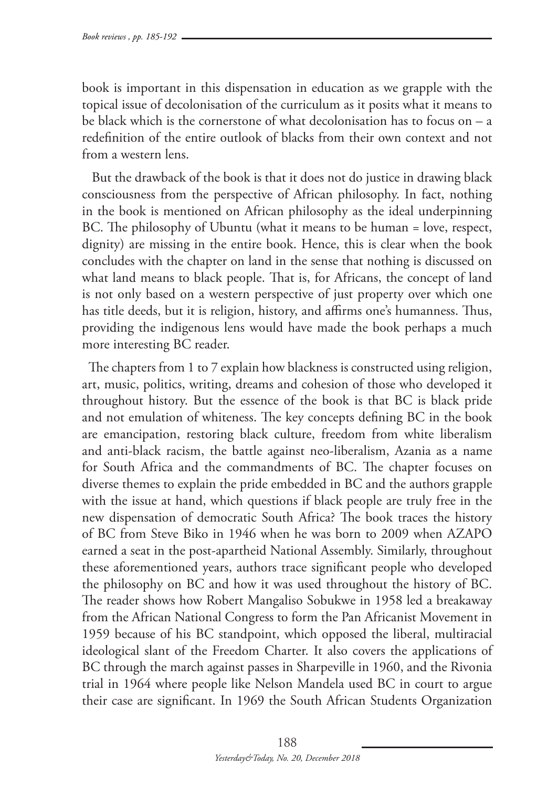book is important in this dispensation in education as we grapple with the topical issue of decolonisation of the curriculum as it posits what it means to be black which is the cornerstone of what decolonisation has to focus on – a redefinition of the entire outlook of blacks from their own context and not from a western lens.

 But the drawback of the book is that it does not do justice in drawing black consciousness from the perspective of African philosophy. In fact, nothing in the book is mentioned on African philosophy as the ideal underpinning BC. The philosophy of Ubuntu (what it means to be human = love, respect, dignity) are missing in the entire book. Hence, this is clear when the book concludes with the chapter on land in the sense that nothing is discussed on what land means to black people. That is, for Africans, the concept of land is not only based on a western perspective of just property over which one has title deeds, but it is religion, history, and affirms one's humanness. Thus, providing the indigenous lens would have made the book perhaps a much more interesting BC reader.

The chapters from 1 to 7 explain how blackness is constructed using religion, art, music, politics, writing, dreams and cohesion of those who developed it throughout history. But the essence of the book is that BC is black pride and not emulation of whiteness. The key concepts defining BC in the book are emancipation, restoring black culture, freedom from white liberalism and anti-black racism, the battle against neo-liberalism, Azania as a name for South Africa and the commandments of BC. The chapter focuses on diverse themes to explain the pride embedded in BC and the authors grapple with the issue at hand, which questions if black people are truly free in the new dispensation of democratic South Africa? The book traces the history of BC from Steve Biko in 1946 when he was born to 2009 when AZAPO earned a seat in the post-apartheid National Assembly. Similarly, throughout these aforementioned years, authors trace significant people who developed the philosophy on BC and how it was used throughout the history of BC. The reader shows how Robert Mangaliso Sobukwe in 1958 led a breakaway from the African National Congress to form the Pan Africanist Movement in 1959 because of his BC standpoint, which opposed the liberal, multiracial ideological slant of the Freedom Charter. It also covers the applications of BC through the march against passes in Sharpeville in 1960, and the Rivonia trial in 1964 where people like Nelson Mandela used BC in court to argue their case are significant. In 1969 the South African Students Organization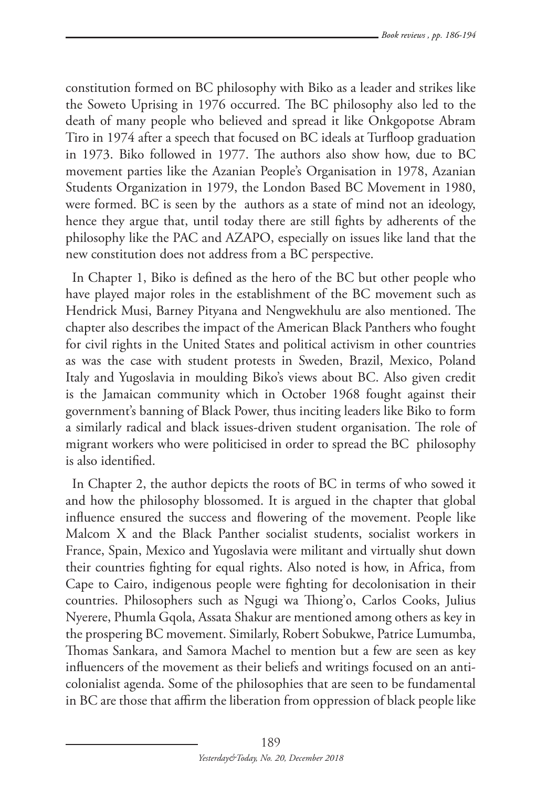constitution formed on BC philosophy with Biko as a leader and strikes like the Soweto Uprising in 1976 occurred. The BC philosophy also led to the death of many people who believed and spread it like Onkgopotse Abram Tiro in 1974 after a speech that focused on BC ideals at Turfloop graduation in 1973. Biko followed in 1977. The authors also show how, due to BC movement parties like the Azanian People's Organisation in 1978, Azanian Students Organization in 1979, the London Based BC Movement in 1980, were formed. BC is seen by the authors as a state of mind not an ideology, hence they argue that, until today there are still fights by adherents of the philosophy like the PAC and AZAPO, especially on issues like land that the new constitution does not address from a BC perspective.

In Chapter 1, Biko is defined as the hero of the BC but other people who have played major roles in the establishment of the BC movement such as Hendrick Musi, Barney Pityana and Nengwekhulu are also mentioned. The chapter also describes the impact of the American Black Panthers who fought for civil rights in the United States and political activism in other countries as was the case with student protests in Sweden, Brazil, Mexico, Poland Italy and Yugoslavia in moulding Biko's views about BC. Also given credit is the Jamaican community which in October 1968 fought against their government's banning of Black Power, thus inciting leaders like Biko to form a similarly radical and black issues-driven student organisation. The role of migrant workers who were politicised in order to spread the BC philosophy is also identified.

In Chapter 2, the author depicts the roots of BC in terms of who sowed it and how the philosophy blossomed. It is argued in the chapter that global influence ensured the success and flowering of the movement. People like Malcom X and the Black Panther socialist students, socialist workers in France, Spain, Mexico and Yugoslavia were militant and virtually shut down their countries fighting for equal rights. Also noted is how, in Africa, from Cape to Cairo, indigenous people were fighting for decolonisation in their countries. Philosophers such as Ngugi wa Thiong'o, Carlos Cooks, Julius Nyerere, Phumla Gqola, Assata Shakur are mentioned among others as key in the prospering BC movement. Similarly, Robert Sobukwe, Patrice Lumumba, Thomas Sankara, and Samora Machel to mention but a few are seen as key influencers of the movement as their beliefs and writings focused on an anticolonialist agenda. Some of the philosophies that are seen to be fundamental in BC are those that affirm the liberation from oppression of black people like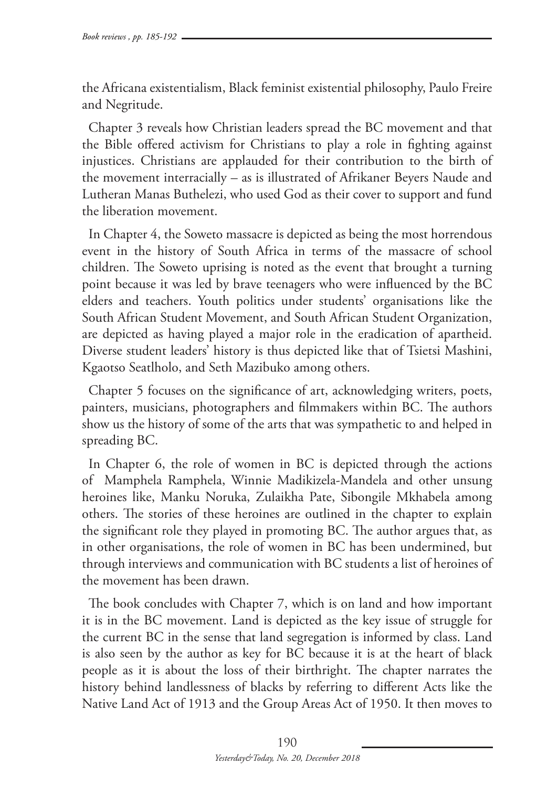the Africana existentialism, Black feminist existential philosophy, Paulo Freire and Negritude.

Chapter 3 reveals how Christian leaders spread the BC movement and that the Bible offered activism for Christians to play a role in fighting against injustices. Christians are applauded for their contribution to the birth of the movement interracially – as is illustrated of Afrikaner Beyers Naude and Lutheran Manas Buthelezi, who used God as their cover to support and fund the liberation movement.

In Chapter 4, the Soweto massacre is depicted as being the most horrendous event in the history of South Africa in terms of the massacre of school children. The Soweto uprising is noted as the event that brought a turning point because it was led by brave teenagers who were influenced by the BC elders and teachers. Youth politics under students' organisations like the South African Student Movement, and South African Student Organization, are depicted as having played a major role in the eradication of apartheid. Diverse student leaders' history is thus depicted like that of Tsietsi Mashini, Kgaotso Seatlholo, and Seth Mazibuko among others.

Chapter 5 focuses on the significance of art, acknowledging writers, poets, painters, musicians, photographers and filmmakers within BC. The authors show us the history of some of the arts that was sympathetic to and helped in spreading BC.

In Chapter 6, the role of women in BC is depicted through the actions of Mamphela Ramphela, Winnie Madikizela-Mandela and other unsung heroines like, Manku Noruka, Zulaikha Pate, Sibongile Mkhabela among others. The stories of these heroines are outlined in the chapter to explain the significant role they played in promoting BC. The author argues that, as in other organisations, the role of women in BC has been undermined, but through interviews and communication with BC students a list of heroines of the movement has been drawn.

The book concludes with Chapter 7, which is on land and how important it is in the BC movement. Land is depicted as the key issue of struggle for the current BC in the sense that land segregation is informed by class. Land is also seen by the author as key for BC because it is at the heart of black people as it is about the loss of their birthright. The chapter narrates the history behind landlessness of blacks by referring to different Acts like the Native Land Act of 1913 and the Group Areas Act of 1950. It then moves to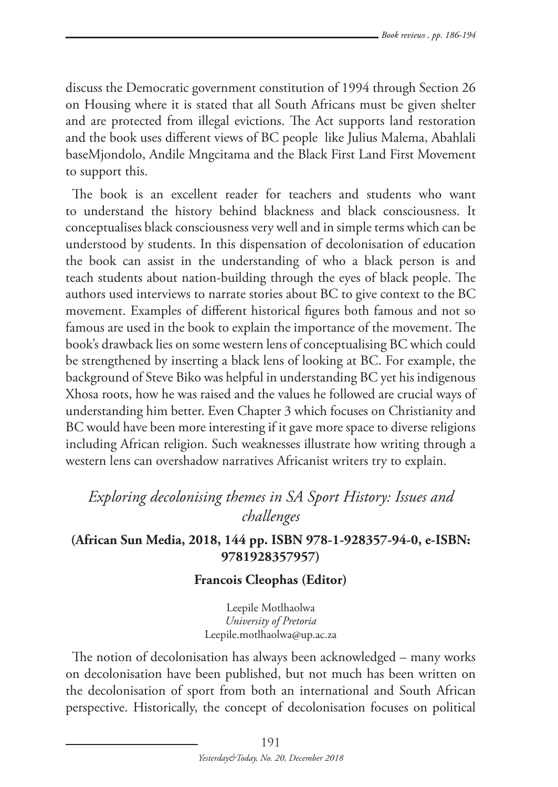discuss the Democratic government constitution of 1994 through Section 26 on Housing where it is stated that all South Africans must be given shelter and are protected from illegal evictions. The Act supports land restoration and the book uses different views of BC people like Julius Malema, Abahlali baseMjondolo, Andile Mngcitama and the Black First Land First Movement to support this.

The book is an excellent reader for teachers and students who want to understand the history behind blackness and black consciousness. It conceptualises black consciousness very well and in simple terms which can be understood by students. In this dispensation of decolonisation of education the book can assist in the understanding of who a black person is and teach students about nation-building through the eyes of black people. The authors used interviews to narrate stories about BC to give context to the BC movement. Examples of different historical figures both famous and not so famous are used in the book to explain the importance of the movement. The book's drawback lies on some western lens of conceptualising BC which could be strengthened by inserting a black lens of looking at BC. For example, the background of Steve Biko was helpful in understanding BC yet his indigenous Xhosa roots, how he was raised and the values he followed are crucial ways of understanding him better. Even Chapter 3 which focuses on Christianity and BC would have been more interesting if it gave more space to diverse religions including African religion. Such weaknesses illustrate how writing through a western lens can overshadow narratives Africanist writers try to explain.

## *Exploring decolonising themes in SA Sport History: Issues and challenges*

## **(African Sun Media, 2018, 144 pp. ISBN 978-1-928357-94-0, e-ISBN: 9781928357957)**

### **Francois Cleophas (Editor)**

Leepile Motlhaolwa *University of Pretoria*  Leepile.motlhaolwa@up.ac.za

The notion of decolonisation has always been acknowledged – many works on decolonisation have been published, but not much has been written on the decolonisation of sport from both an international and South African perspective. Historically, the concept of decolonisation focuses on political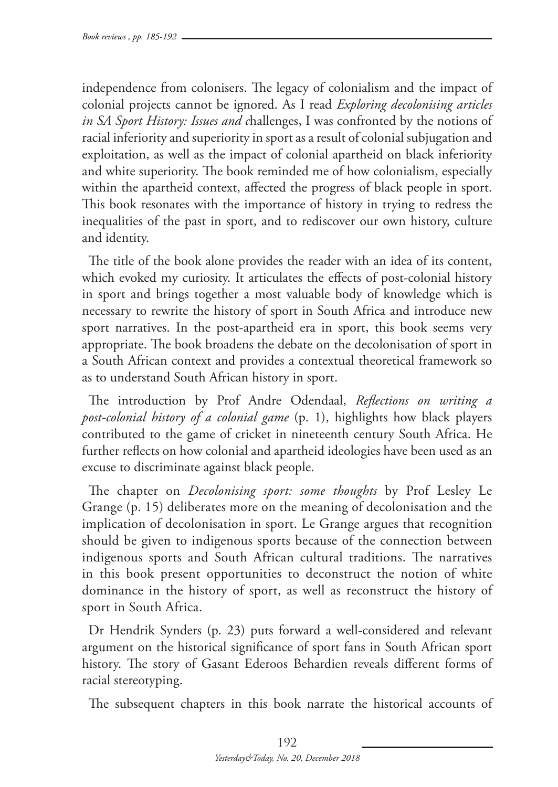independence from colonisers. The legacy of colonialism and the impact of colonial projects cannot be ignored. As I read *Exploring decolonising articles in SA Sport History: Issues and c*hallenges, I was confronted by the notions of racial inferiority and superiority in sport as a result of colonial subjugation and exploitation, as well as the impact of colonial apartheid on black inferiority and white superiority. The book reminded me of how colonialism, especially within the apartheid context, affected the progress of black people in sport. This book resonates with the importance of history in trying to redress the inequalities of the past in sport, and to rediscover our own history, culture and identity.

The title of the book alone provides the reader with an idea of its content, which evoked my curiosity. It articulates the effects of post-colonial history in sport and brings together a most valuable body of knowledge which is necessary to rewrite the history of sport in South Africa and introduce new sport narratives. In the post-apartheid era in sport, this book seems very appropriate. The book broadens the debate on the decolonisation of sport in a South African context and provides a contextual theoretical framework so as to understand South African history in sport.

The introduction by Prof Andre Odendaal, *Reflections on writing a post-colonial history of a colonial game* (p. 1), highlights how black players contributed to the game of cricket in nineteenth century South Africa. He further reflects on how colonial and apartheid ideologies have been used as an excuse to discriminate against black people.

The chapter on *Decolonising sport: some thoughts* by Prof Lesley Le Grange (p. 15) deliberates more on the meaning of decolonisation and the implication of decolonisation in sport. Le Grange argues that recognition should be given to indigenous sports because of the connection between indigenous sports and South African cultural traditions. The narratives in this book present opportunities to deconstruct the notion of white dominance in the history of sport, as well as reconstruct the history of sport in South Africa.

Dr Hendrik Synders (p. 23) puts forward a well-considered and relevant argument on the historical significance of sport fans in South African sport history. The story of Gasant Ederoos Behardien reveals different forms of racial stereotyping.

The subsequent chapters in this book narrate the historical accounts of